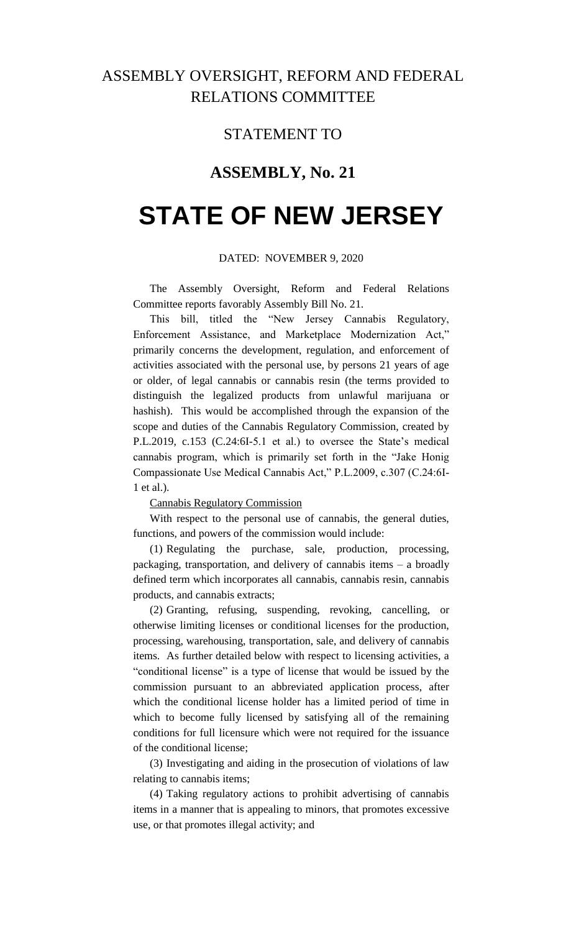## ASSEMBLY OVERSIGHT, REFORM AND FEDERAL RELATIONS COMMITTEE

### STATEMENT TO

## **ASSEMBLY, No. 21**

# **STATE OF NEW JERSEY**

#### DATED: NOVEMBER 9, 2020

The Assembly Oversight, Reform and Federal Relations Committee reports favorably Assembly Bill No. 21.

This bill, titled the "New Jersey Cannabis Regulatory, Enforcement Assistance, and Marketplace Modernization Act," primarily concerns the development, regulation, and enforcement of activities associated with the personal use, by persons 21 years of age or older, of legal cannabis or cannabis resin (the terms provided to distinguish the legalized products from unlawful marijuana or hashish). This would be accomplished through the expansion of the scope and duties of the Cannabis Regulatory Commission, created by P.L.2019, c.153 (C.24:6I-5.1 et al.) to oversee the State's medical cannabis program, which is primarily set forth in the "Jake Honig Compassionate Use Medical Cannabis Act," P.L.2009, c.307 (C.24:6I-1 et al.).

#### Cannabis Regulatory Commission

With respect to the personal use of cannabis, the general duties, functions, and powers of the commission would include:

(1) Regulating the purchase, sale, production, processing, packaging, transportation, and delivery of cannabis items – a broadly defined term which incorporates all cannabis, cannabis resin, cannabis products, and cannabis extracts;

(2) Granting, refusing, suspending, revoking, cancelling, or otherwise limiting licenses or conditional licenses for the production, processing, warehousing, transportation, sale, and delivery of cannabis items. As further detailed below with respect to licensing activities, a "conditional license" is a type of license that would be issued by the commission pursuant to an abbreviated application process, after which the conditional license holder has a limited period of time in which to become fully licensed by satisfying all of the remaining conditions for full licensure which were not required for the issuance of the conditional license;

(3) Investigating and aiding in the prosecution of violations of law relating to cannabis items;

(4) Taking regulatory actions to prohibit advertising of cannabis items in a manner that is appealing to minors, that promotes excessive use, or that promotes illegal activity; and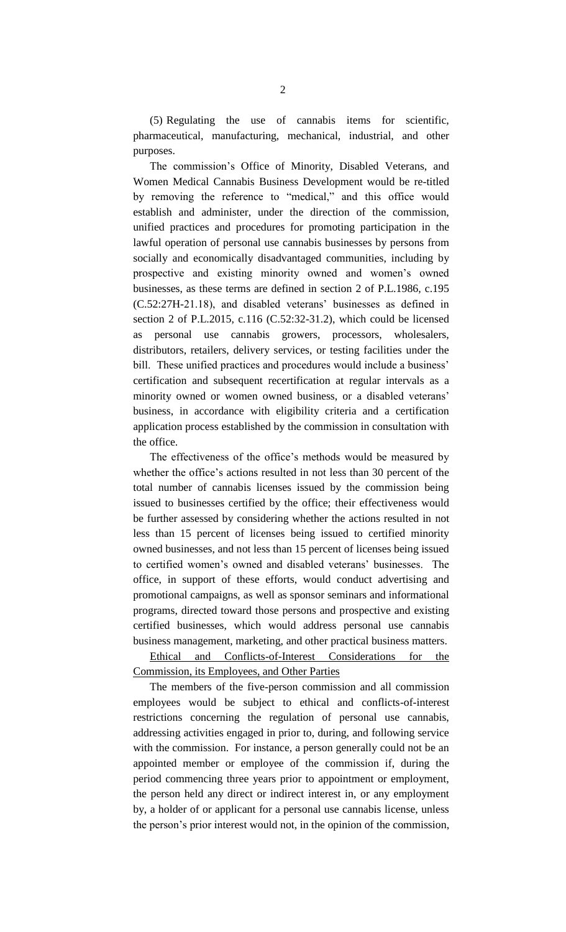(5) Regulating the use of cannabis items for scientific, pharmaceutical, manufacturing, mechanical, industrial, and other purposes.

The commission's Office of Minority, Disabled Veterans, and Women Medical Cannabis Business Development would be re-titled by removing the reference to "medical," and this office would establish and administer, under the direction of the commission, unified practices and procedures for promoting participation in the lawful operation of personal use cannabis businesses by persons from socially and economically disadvantaged communities, including by prospective and existing minority owned and women's owned businesses, as these terms are defined in section 2 of P.L.1986, c.195 (C.52:27H-21.18), and disabled veterans' businesses as defined in section 2 of P.L.2015, c.116 (C.52:32-31.2), which could be licensed as personal use cannabis growers, processors, wholesalers, distributors, retailers, delivery services, or testing facilities under the bill. These unified practices and procedures would include a business' certification and subsequent recertification at regular intervals as a minority owned or women owned business, or a disabled veterans' business, in accordance with eligibility criteria and a certification application process established by the commission in consultation with the office.

The effectiveness of the office's methods would be measured by whether the office's actions resulted in not less than 30 percent of the total number of cannabis licenses issued by the commission being issued to businesses certified by the office; their effectiveness would be further assessed by considering whether the actions resulted in not less than 15 percent of licenses being issued to certified minority owned businesses, and not less than 15 percent of licenses being issued to certified women's owned and disabled veterans' businesses. The office, in support of these efforts, would conduct advertising and promotional campaigns, as well as sponsor seminars and informational programs, directed toward those persons and prospective and existing certified businesses, which would address personal use cannabis business management, marketing, and other practical business matters.

Ethical and Conflicts-of-Interest Considerations for the Commission, its Employees, and Other Parties

The members of the five-person commission and all commission employees would be subject to ethical and conflicts-of-interest restrictions concerning the regulation of personal use cannabis, addressing activities engaged in prior to, during, and following service with the commission. For instance, a person generally could not be an appointed member or employee of the commission if, during the period commencing three years prior to appointment or employment, the person held any direct or indirect interest in, or any employment by, a holder of or applicant for a personal use cannabis license, unless the person's prior interest would not, in the opinion of the commission,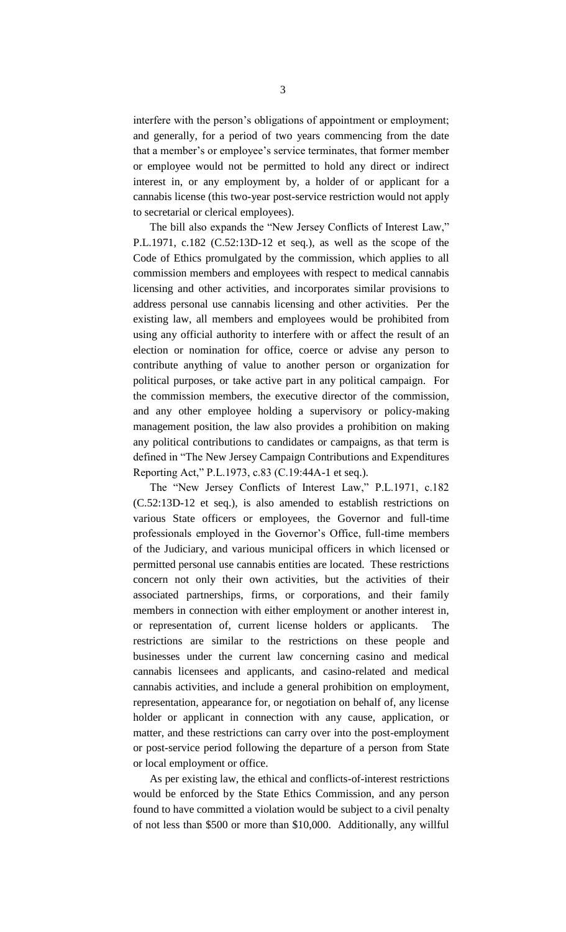interfere with the person's obligations of appointment or employment; and generally, for a period of two years commencing from the date that a member's or employee's service terminates, that former member or employee would not be permitted to hold any direct or indirect interest in, or any employment by, a holder of or applicant for a cannabis license (this two-year post-service restriction would not apply to secretarial or clerical employees).

The bill also expands the "New Jersey Conflicts of Interest Law," P.L.1971, c.182 (C.52:13D-12 et seq.), as well as the scope of the Code of Ethics promulgated by the commission, which applies to all commission members and employees with respect to medical cannabis licensing and other activities, and incorporates similar provisions to address personal use cannabis licensing and other activities. Per the existing law, all members and employees would be prohibited from using any official authority to interfere with or affect the result of an election or nomination for office, coerce or advise any person to contribute anything of value to another person or organization for political purposes, or take active part in any political campaign. For the commission members, the executive director of the commission, and any other employee holding a supervisory or policy-making management position, the law also provides a prohibition on making any political contributions to candidates or campaigns, as that term is defined in "The New Jersey Campaign Contributions and Expenditures Reporting Act," P.L.1973, c.83 (C.19:44A-1 et seq.).

The "New Jersey Conflicts of Interest Law," P.L.1971, c.182 (C.52:13D-12 et seq.), is also amended to establish restrictions on various State officers or employees, the Governor and full-time professionals employed in the Governor's Office, full-time members of the Judiciary, and various municipal officers in which licensed or permitted personal use cannabis entities are located. These restrictions concern not only their own activities, but the activities of their associated partnerships, firms, or corporations, and their family members in connection with either employment or another interest in, or representation of, current license holders or applicants. The restrictions are similar to the restrictions on these people and businesses under the current law concerning casino and medical cannabis licensees and applicants, and casino-related and medical cannabis activities, and include a general prohibition on employment, representation, appearance for, or negotiation on behalf of, any license holder or applicant in connection with any cause, application, or matter, and these restrictions can carry over into the post-employment or post-service period following the departure of a person from State or local employment or office.

As per existing law, the ethical and conflicts-of-interest restrictions would be enforced by the State Ethics Commission, and any person found to have committed a violation would be subject to a civil penalty of not less than \$500 or more than \$10,000. Additionally, any willful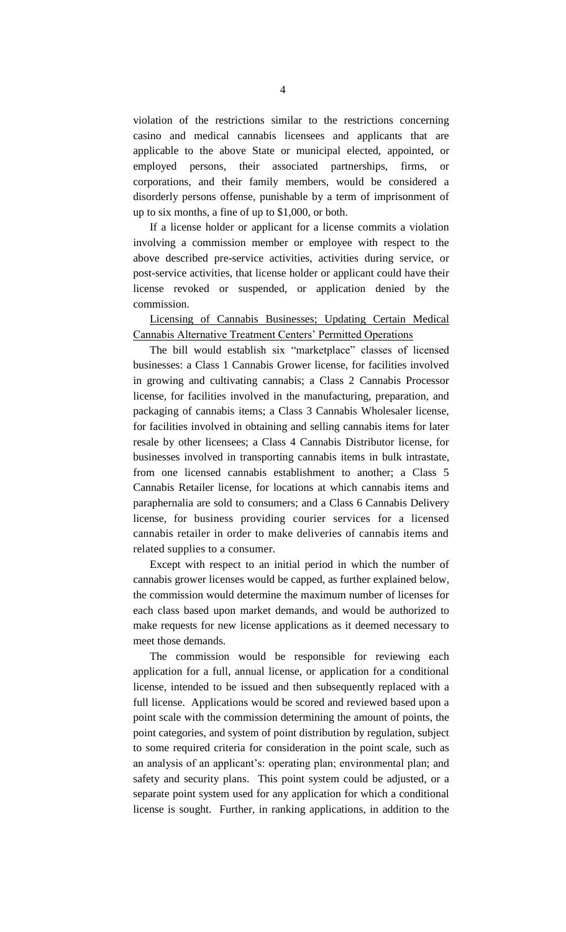violation of the restrictions similar to the restrictions concerning casino and medical cannabis licensees and applicants that are applicable to the above State or municipal elected, appointed, or employed persons, their associated partnerships, firms, or corporations, and their family members, would be considered a disorderly persons offense, punishable by a term of imprisonment of up to six months, a fine of up to \$1,000, or both.

If a license holder or applicant for a license commits a violation involving a commission member or employee with respect to the above described pre-service activities, activities during service, or post-service activities, that license holder or applicant could have their license revoked or suspended, or application denied by the commission.

Licensing of Cannabis Businesses; Updating Certain Medical Cannabis Alternative Treatment Centers' Permitted Operations

The bill would establish six "marketplace" classes of licensed businesses: a Class 1 Cannabis Grower license, for facilities involved in growing and cultivating cannabis; a Class 2 Cannabis Processor license, for facilities involved in the manufacturing, preparation, and packaging of cannabis items; a Class 3 Cannabis Wholesaler license, for facilities involved in obtaining and selling cannabis items for later resale by other licensees; a Class 4 Cannabis Distributor license, for businesses involved in transporting cannabis items in bulk intrastate, from one licensed cannabis establishment to another; a Class 5 Cannabis Retailer license, for locations at which cannabis items and paraphernalia are sold to consumers; and a Class 6 Cannabis Delivery license, for business providing courier services for a licensed cannabis retailer in order to make deliveries of cannabis items and related supplies to a consumer.

Except with respect to an initial period in which the number of cannabis grower licenses would be capped, as further explained below, the commission would determine the maximum number of licenses for each class based upon market demands, and would be authorized to make requests for new license applications as it deemed necessary to meet those demands.

The commission would be responsible for reviewing each application for a full, annual license, or application for a conditional license, intended to be issued and then subsequently replaced with a full license. Applications would be scored and reviewed based upon a point scale with the commission determining the amount of points, the point categories, and system of point distribution by regulation, subject to some required criteria for consideration in the point scale, such as an analysis of an applicant's: operating plan; environmental plan; and safety and security plans. This point system could be adjusted, or a separate point system used for any application for which a conditional license is sought. Further, in ranking applications, in addition to the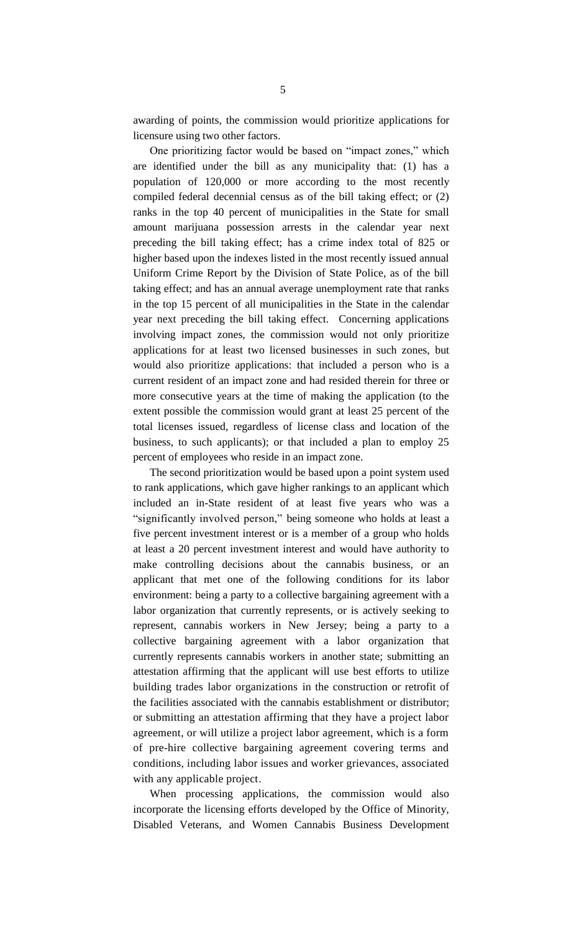awarding of points, the commission would prioritize applications for licensure using two other factors.

One prioritizing factor would be based on "impact zones," which are identified under the bill as any municipality that: (1) has a population of 120,000 or more according to the most recently compiled federal decennial census as of the bill taking effect; or (2) ranks in the top 40 percent of municipalities in the State for small amount marijuana possession arrests in the calendar year next preceding the bill taking effect; has a crime index total of 825 or higher based upon the indexes listed in the most recently issued annual Uniform Crime Report by the Division of State Police, as of the bill taking effect; and has an annual average unemployment rate that ranks in the top 15 percent of all municipalities in the State in the calendar year next preceding the bill taking effect. Concerning applications involving impact zones, the commission would not only prioritize applications for at least two licensed businesses in such zones, but would also prioritize applications: that included a person who is a current resident of an impact zone and had resided therein for three or more consecutive years at the time of making the application (to the extent possible the commission would grant at least 25 percent of the total licenses issued, regardless of license class and location of the business, to such applicants); or that included a plan to employ 25 percent of employees who reside in an impact zone.

The second prioritization would be based upon a point system used to rank applications, which gave higher rankings to an applicant which included an in-State resident of at least five years who was a "significantly involved person," being someone who holds at least a five percent investment interest or is a member of a group who holds at least a 20 percent investment interest and would have authority to make controlling decisions about the cannabis business, or an applicant that met one of the following conditions for its labor environment: being a party to a collective bargaining agreement with a labor organization that currently represents, or is actively seeking to represent, cannabis workers in New Jersey; being a party to a collective bargaining agreement with a labor organization that currently represents cannabis workers in another state; submitting an attestation affirming that the applicant will use best efforts to utilize building trades labor organizations in the construction or retrofit of the facilities associated with the cannabis establishment or distributor; or submitting an attestation affirming that they have a project labor agreement, or will utilize a project labor agreement, which is a form of pre-hire collective bargaining agreement covering terms and conditions, including labor issues and worker grievances, associated with any applicable project.

When processing applications, the commission would also incorporate the licensing efforts developed by the Office of Minority, Disabled Veterans, and Women Cannabis Business Development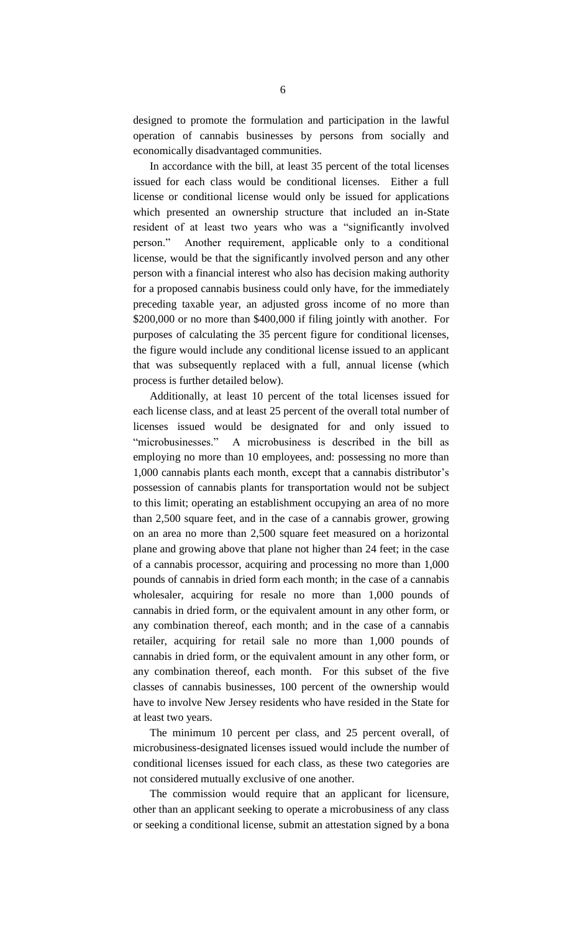designed to promote the formulation and participation in the lawful operation of cannabis businesses by persons from socially and economically disadvantaged communities.

In accordance with the bill, at least 35 percent of the total licenses issued for each class would be conditional licenses. Either a full license or conditional license would only be issued for applications which presented an ownership structure that included an in-State resident of at least two years who was a "significantly involved person." Another requirement, applicable only to a conditional license, would be that the significantly involved person and any other person with a financial interest who also has decision making authority for a proposed cannabis business could only have, for the immediately preceding taxable year, an adjusted gross income of no more than \$200,000 or no more than \$400,000 if filing jointly with another. For purposes of calculating the 35 percent figure for conditional licenses, the figure would include any conditional license issued to an applicant that was subsequently replaced with a full, annual license (which process is further detailed below).

Additionally, at least 10 percent of the total licenses issued for each license class, and at least 25 percent of the overall total number of licenses issued would be designated for and only issued to "microbusinesses." A microbusiness is described in the bill as employing no more than 10 employees, and: possessing no more than 1,000 cannabis plants each month, except that a cannabis distributor's possession of cannabis plants for transportation would not be subject to this limit; operating an establishment occupying an area of no more than 2,500 square feet, and in the case of a cannabis grower, growing on an area no more than 2,500 square feet measured on a horizontal plane and growing above that plane not higher than 24 feet; in the case of a cannabis processor, acquiring and processing no more than 1,000 pounds of cannabis in dried form each month; in the case of a cannabis wholesaler, acquiring for resale no more than 1,000 pounds of cannabis in dried form, or the equivalent amount in any other form, or any combination thereof, each month; and in the case of a cannabis retailer, acquiring for retail sale no more than 1,000 pounds of cannabis in dried form, or the equivalent amount in any other form, or any combination thereof, each month. For this subset of the five classes of cannabis businesses, 100 percent of the ownership would have to involve New Jersey residents who have resided in the State for at least two years.

The minimum 10 percent per class, and 25 percent overall, of microbusiness-designated licenses issued would include the number of conditional licenses issued for each class, as these two categories are not considered mutually exclusive of one another.

The commission would require that an applicant for licensure, other than an applicant seeking to operate a microbusiness of any class or seeking a conditional license, submit an attestation signed by a bona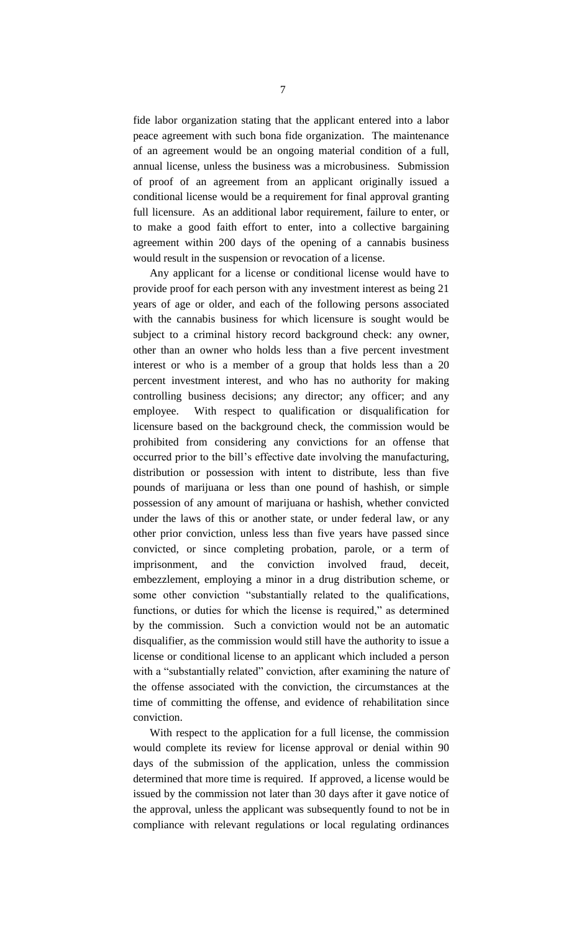fide labor organization stating that the applicant entered into a labor peace agreement with such bona fide organization. The maintenance of an agreement would be an ongoing material condition of a full, annual license, unless the business was a microbusiness. Submission of proof of an agreement from an applicant originally issued a conditional license would be a requirement for final approval granting full licensure. As an additional labor requirement, failure to enter, or to make a good faith effort to enter, into a collective bargaining agreement within 200 days of the opening of a cannabis business would result in the suspension or revocation of a license.

Any applicant for a license or conditional license would have to provide proof for each person with any investment interest as being 21 years of age or older, and each of the following persons associated with the cannabis business for which licensure is sought would be subject to a criminal history record background check: any owner, other than an owner who holds less than a five percent investment interest or who is a member of a group that holds less than a 20 percent investment interest, and who has no authority for making controlling business decisions; any director; any officer; and any employee. With respect to qualification or disqualification for licensure based on the background check, the commission would be prohibited from considering any convictions for an offense that occurred prior to the bill's effective date involving the manufacturing, distribution or possession with intent to distribute, less than five pounds of marijuana or less than one pound of hashish, or simple possession of any amount of marijuana or hashish, whether convicted under the laws of this or another state, or under federal law, or any other prior conviction, unless less than five years have passed since convicted, or since completing probation, parole, or a term of imprisonment, and the conviction involved fraud, deceit, embezzlement, employing a minor in a drug distribution scheme, or some other conviction "substantially related to the qualifications, functions, or duties for which the license is required," as determined by the commission. Such a conviction would not be an automatic disqualifier, as the commission would still have the authority to issue a license or conditional license to an applicant which included a person with a "substantially related" conviction, after examining the nature of the offense associated with the conviction, the circumstances at the time of committing the offense, and evidence of rehabilitation since conviction.

With respect to the application for a full license, the commission would complete its review for license approval or denial within 90 days of the submission of the application, unless the commission determined that more time is required. If approved, a license would be issued by the commission not later than 30 days after it gave notice of the approval, unless the applicant was subsequently found to not be in compliance with relevant regulations or local regulating ordinances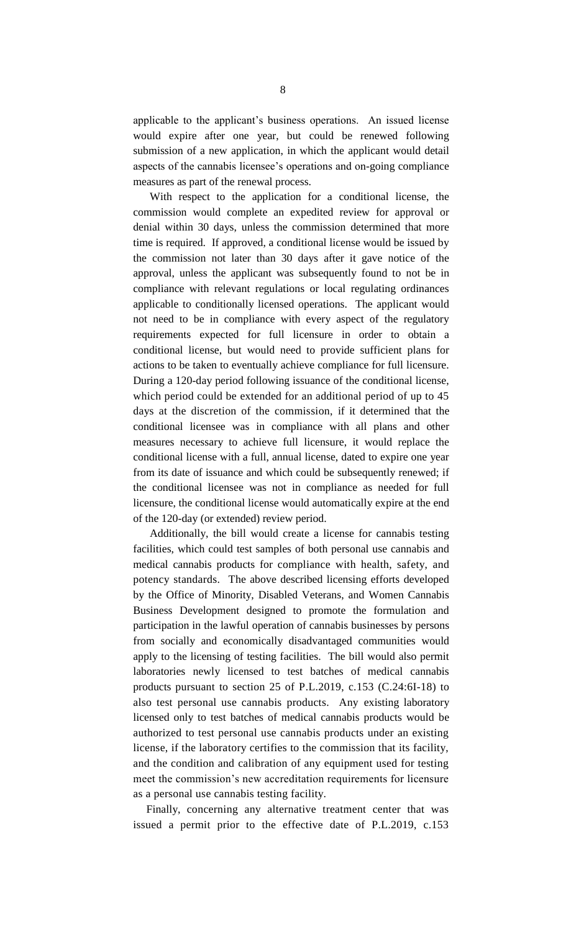applicable to the applicant's business operations. An issued license would expire after one year, but could be renewed following submission of a new application, in which the applicant would detail aspects of the cannabis licensee's operations and on-going compliance measures as part of the renewal process.

With respect to the application for a conditional license, the commission would complete an expedited review for approval or denial within 30 days, unless the commission determined that more time is required. If approved, a conditional license would be issued by the commission not later than 30 days after it gave notice of the approval, unless the applicant was subsequently found to not be in compliance with relevant regulations or local regulating ordinances applicable to conditionally licensed operations. The applicant would not need to be in compliance with every aspect of the regulatory requirements expected for full licensure in order to obtain a conditional license, but would need to provide sufficient plans for actions to be taken to eventually achieve compliance for full licensure. During a 120-day period following issuance of the conditional license, which period could be extended for an additional period of up to 45 days at the discretion of the commission, if it determined that the conditional licensee was in compliance with all plans and other measures necessary to achieve full licensure, it would replace the conditional license with a full, annual license, dated to expire one year from its date of issuance and which could be subsequently renewed; if the conditional licensee was not in compliance as needed for full licensure, the conditional license would automatically expire at the end of the 120-day (or extended) review period.

Additionally, the bill would create a license for cannabis testing facilities, which could test samples of both personal use cannabis and medical cannabis products for compliance with health, safety, and potency standards. The above described licensing efforts developed by the Office of Minority, Disabled Veterans, and Women Cannabis Business Development designed to promote the formulation and participation in the lawful operation of cannabis businesses by persons from socially and economically disadvantaged communities would apply to the licensing of testing facilities. The bill would also permit laboratories newly licensed to test batches of medical cannabis products pursuant to section 25 of P.L.2019, c.153 (C.24:6I-18) to also test personal use cannabis products. Any existing laboratory licensed only to test batches of medical cannabis products would be authorized to test personal use cannabis products under an existing license, if the laboratory certifies to the commission that its facility, and the condition and calibration of any equipment used for testing meet the commission's new accreditation requirements for licensure as a personal use cannabis testing facility.

Finally, concerning any alternative treatment center that was issued a permit prior to the effective date of P.L.2019, c.153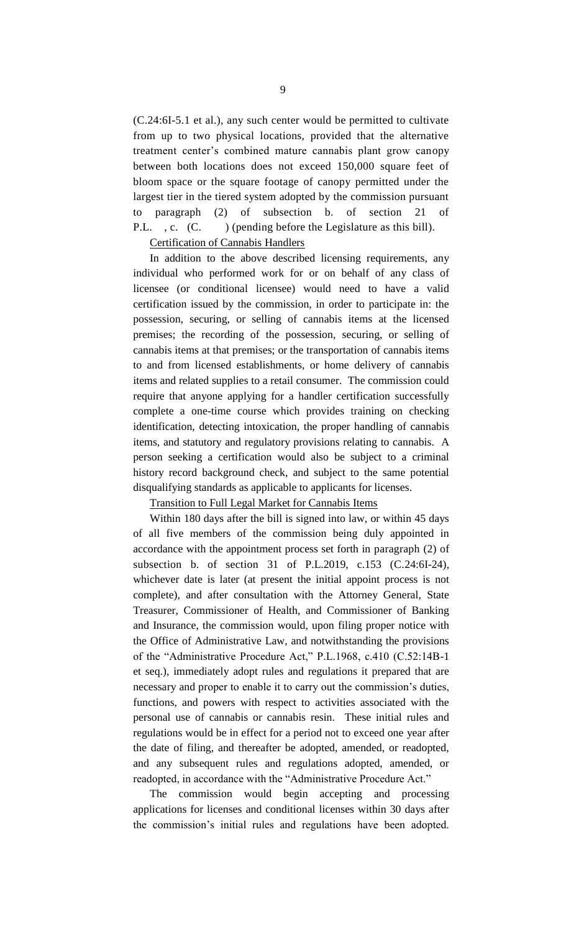(C.24:6I-5.1 et al.), any such center would be permitted to cultivate from up to two physical locations, provided that the alternative treatment center's combined mature cannabis plant grow canopy between both locations does not exceed 150,000 square feet of bloom space or the square footage of canopy permitted under the largest tier in the tiered system adopted by the commission pursuant to paragraph (2) of subsection b. of section 21 of P.L., c. (C.) (pending before the Legislature as this bill).

#### Certification of Cannabis Handlers

In addition to the above described licensing requirements, any individual who performed work for or on behalf of any class of licensee (or conditional licensee) would need to have a valid certification issued by the commission, in order to participate in: the possession, securing, or selling of cannabis items at the licensed premises; the recording of the possession, securing, or selling of cannabis items at that premises; or the transportation of cannabis items to and from licensed establishments, or home delivery of cannabis items and related supplies to a retail consumer. The commission could require that anyone applying for a handler certification successfully complete a one-time course which provides training on checking identification, detecting intoxication, the proper handling of cannabis items, and statutory and regulatory provisions relating to cannabis. A person seeking a certification would also be subject to a criminal history record background check, and subject to the same potential disqualifying standards as applicable to applicants for licenses.

#### Transition to Full Legal Market for Cannabis Items

Within 180 days after the bill is signed into law, or within 45 days of all five members of the commission being duly appointed in accordance with the appointment process set forth in paragraph (2) of subsection b. of section 31 of P.L.2019, c.153 (C.24:6I-24), whichever date is later (at present the initial appoint process is not complete), and after consultation with the Attorney General, State Treasurer, Commissioner of Health, and Commissioner of Banking and Insurance, the commission would, upon filing proper notice with the Office of Administrative Law, and notwithstanding the provisions of the "Administrative Procedure Act," P.L.1968, c.410 (C.52:14B-1 et seq.), immediately adopt rules and regulations it prepared that are necessary and proper to enable it to carry out the commission's duties, functions, and powers with respect to activities associated with the personal use of cannabis or cannabis resin. These initial rules and regulations would be in effect for a period not to exceed one year after the date of filing, and thereafter be adopted, amended, or readopted, and any subsequent rules and regulations adopted, amended, or readopted, in accordance with the "Administrative Procedure Act."

The commission would begin accepting and processing applications for licenses and conditional licenses within 30 days after the commission's initial rules and regulations have been adopted.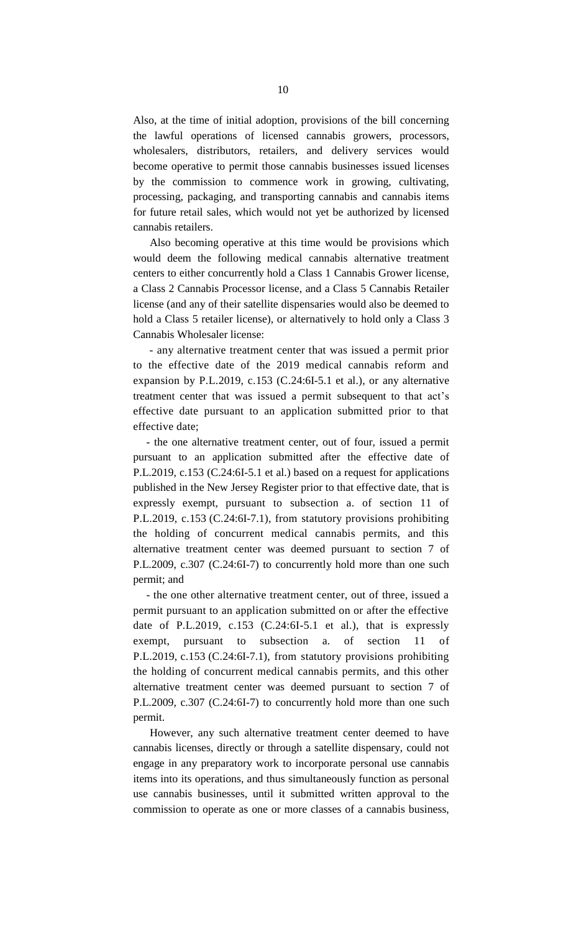Also, at the time of initial adoption, provisions of the bill concerning the lawful operations of licensed cannabis growers, processors, wholesalers, distributors, retailers, and delivery services would become operative to permit those cannabis businesses issued licenses by the commission to commence work in growing, cultivating, processing, packaging, and transporting cannabis and cannabis items for future retail sales, which would not yet be authorized by licensed cannabis retailers.

Also becoming operative at this time would be provisions which would deem the following medical cannabis alternative treatment centers to either concurrently hold a Class 1 Cannabis Grower license, a Class 2 Cannabis Processor license, and a Class 5 Cannabis Retailer license (and any of their satellite dispensaries would also be deemed to hold a Class 5 retailer license), or alternatively to hold only a Class 3 Cannabis Wholesaler license:

- any alternative treatment center that was issued a permit prior to the effective date of the 2019 medical cannabis reform and expansion by P.L.2019, c.153 (C.24:6I-5.1 et al.), or any alternative treatment center that was issued a permit subsequent to that act's effective date pursuant to an application submitted prior to that effective date;

- the one alternative treatment center, out of four, issued a permit pursuant to an application submitted after the effective date of P.L.2019, c.153 (C.24:6I-5.1 et al.) based on a request for applications published in the New Jersey Register prior to that effective date, that is expressly exempt, pursuant to subsection a. of section 11 of P.L.2019, c.153 (C.24:6I-7.1), from statutory provisions prohibiting the holding of concurrent medical cannabis permits, and this alternative treatment center was deemed pursuant to section 7 of P.L.2009, c.307 (C.24:6I-7) to concurrently hold more than one such permit; and

- the one other alternative treatment center, out of three, issued a permit pursuant to an application submitted on or after the effective date of P.L.2019, c.153 (C.24:6I-5.1 et al.), that is expressly exempt, pursuant to subsection a. of section 11 of P.L.2019, c.153 (C.24:6I-7.1), from statutory provisions prohibiting the holding of concurrent medical cannabis permits, and this other alternative treatment center was deemed pursuant to section 7 of P.L.2009, c.307 (C.24:6I-7) to concurrently hold more than one such permit.

However, any such alternative treatment center deemed to have cannabis licenses, directly or through a satellite dispensary, could not engage in any preparatory work to incorporate personal use cannabis items into its operations, and thus simultaneously function as personal use cannabis businesses, until it submitted written approval to the commission to operate as one or more classes of a cannabis business,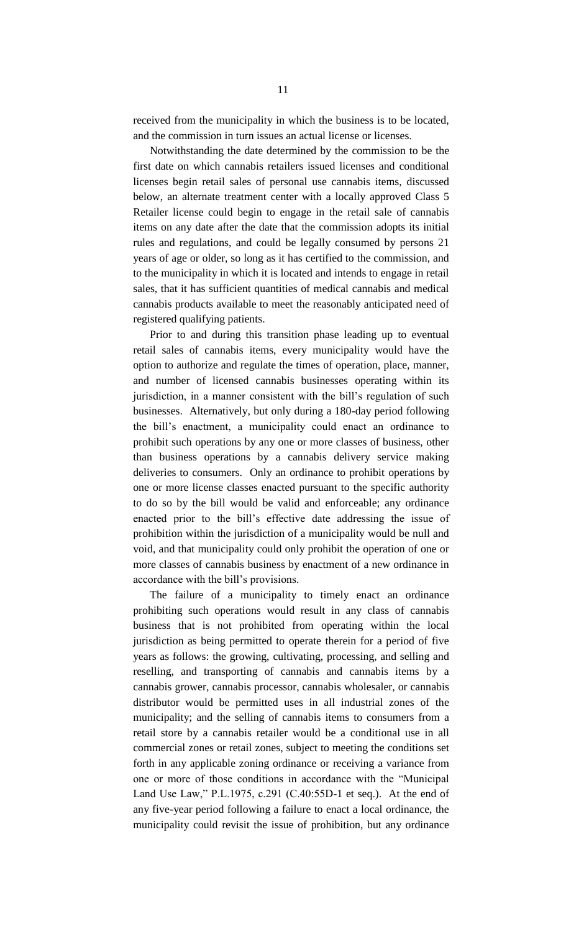received from the municipality in which the business is to be located, and the commission in turn issues an actual license or licenses.

Notwithstanding the date determined by the commission to be the first date on which cannabis retailers issued licenses and conditional licenses begin retail sales of personal use cannabis items, discussed below, an alternate treatment center with a locally approved Class 5 Retailer license could begin to engage in the retail sale of cannabis items on any date after the date that the commission adopts its initial rules and regulations, and could be legally consumed by persons 21 years of age or older, so long as it has certified to the commission, and to the municipality in which it is located and intends to engage in retail sales, that it has sufficient quantities of medical cannabis and medical cannabis products available to meet the reasonably anticipated need of registered qualifying patients.

Prior to and during this transition phase leading up to eventual retail sales of cannabis items, every municipality would have the option to authorize and regulate the times of operation, place, manner, and number of licensed cannabis businesses operating within its jurisdiction, in a manner consistent with the bill's regulation of such businesses. Alternatively, but only during a 180-day period following the bill's enactment, a municipality could enact an ordinance to prohibit such operations by any one or more classes of business, other than business operations by a cannabis delivery service making deliveries to consumers. Only an ordinance to prohibit operations by one or more license classes enacted pursuant to the specific authority to do so by the bill would be valid and enforceable; any ordinance enacted prior to the bill's effective date addressing the issue of prohibition within the jurisdiction of a municipality would be null and void, and that municipality could only prohibit the operation of one or more classes of cannabis business by enactment of a new ordinance in accordance with the bill's provisions.

The failure of a municipality to timely enact an ordinance prohibiting such operations would result in any class of cannabis business that is not prohibited from operating within the local jurisdiction as being permitted to operate therein for a period of five years as follows: the growing, cultivating, processing, and selling and reselling, and transporting of cannabis and cannabis items by a cannabis grower, cannabis processor, cannabis wholesaler, or cannabis distributor would be permitted uses in all industrial zones of the municipality; and the selling of cannabis items to consumers from a retail store by a cannabis retailer would be a conditional use in all commercial zones or retail zones, subject to meeting the conditions set forth in any applicable zoning ordinance or receiving a variance from one or more of those conditions in accordance with the "Municipal Land Use Law," P.L.1975, c.291 (C.40:55D-1 et seq.). At the end of any five-year period following a failure to enact a local ordinance, the municipality could revisit the issue of prohibition, but any ordinance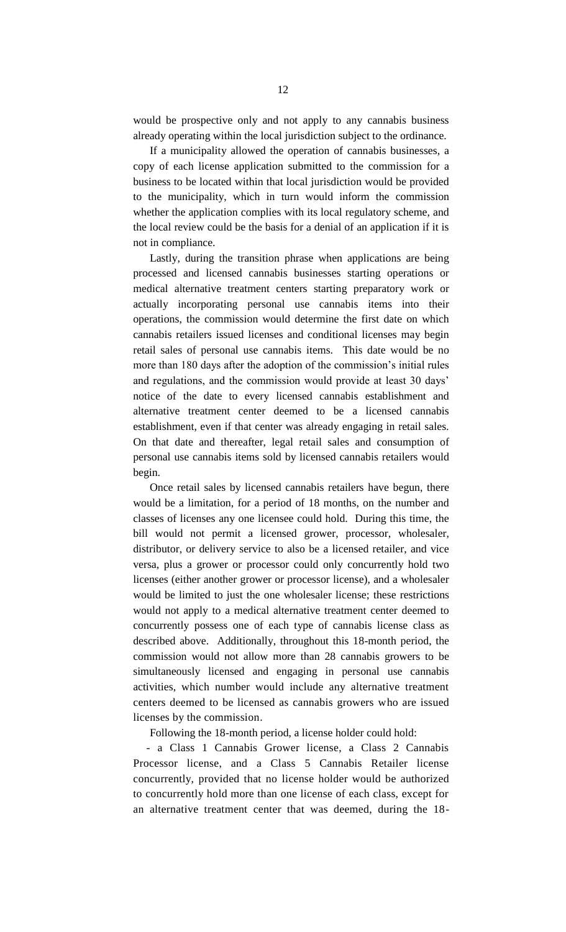would be prospective only and not apply to any cannabis business already operating within the local jurisdiction subject to the ordinance.

If a municipality allowed the operation of cannabis businesses, a copy of each license application submitted to the commission for a business to be located within that local jurisdiction would be provided to the municipality, which in turn would inform the commission whether the application complies with its local regulatory scheme, and the local review could be the basis for a denial of an application if it is not in compliance.

Lastly, during the transition phrase when applications are being processed and licensed cannabis businesses starting operations or medical alternative treatment centers starting preparatory work or actually incorporating personal use cannabis items into their operations, the commission would determine the first date on which cannabis retailers issued licenses and conditional licenses may begin retail sales of personal use cannabis items. This date would be no more than 180 days after the adoption of the commission's initial rules and regulations, and the commission would provide at least 30 days' notice of the date to every licensed cannabis establishment and alternative treatment center deemed to be a licensed cannabis establishment, even if that center was already engaging in retail sales. On that date and thereafter, legal retail sales and consumption of personal use cannabis items sold by licensed cannabis retailers would begin.

Once retail sales by licensed cannabis retailers have begun, there would be a limitation, for a period of 18 months, on the number and classes of licenses any one licensee could hold. During this time, the bill would not permit a licensed grower, processor, wholesaler, distributor, or delivery service to also be a licensed retailer, and vice versa, plus a grower or processor could only concurrently hold two licenses (either another grower or processor license), and a wholesaler would be limited to just the one wholesaler license; these restrictions would not apply to a medical alternative treatment center deemed to concurrently possess one of each type of cannabis license class as described above. Additionally, throughout this 18-month period, the commission would not allow more than 28 cannabis growers to be simultaneously licensed and engaging in personal use cannabis activities, which number would include any alternative treatment centers deemed to be licensed as cannabis growers who are issued licenses by the commission.

Following the 18-month period, a license holder could hold:

- a Class 1 Cannabis Grower license, a Class 2 Cannabis Processor license, and a Class 5 Cannabis Retailer license concurrently, provided that no license holder would be authorized to concurrently hold more than one license of each class, except for an alternative treatment center that was deemed, during the 18-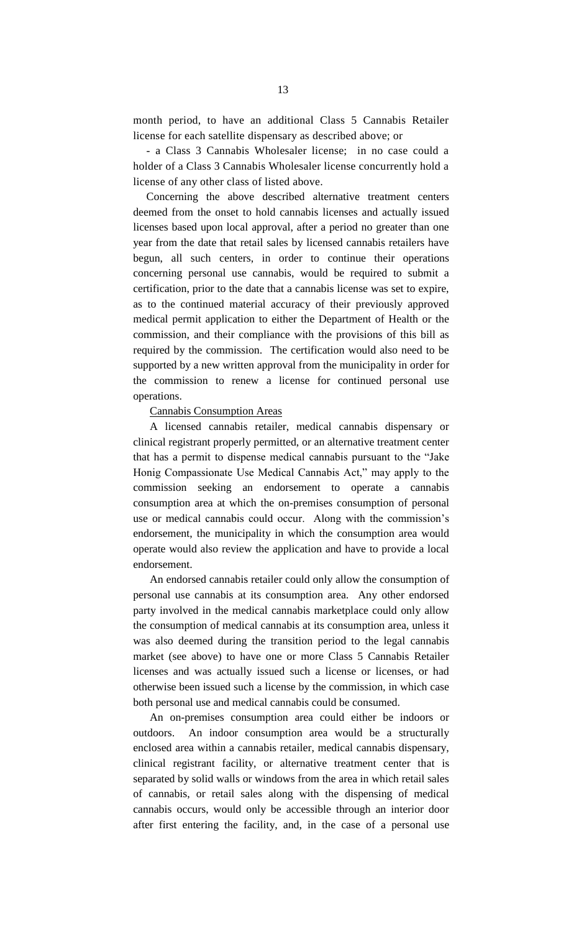month period, to have an additional Class 5 Cannabis Retailer license for each satellite dispensary as described above; or

- a Class 3 Cannabis Wholesaler license; in no case could a holder of a Class 3 Cannabis Wholesaler license concurrently hold a license of any other class of listed above.

Concerning the above described alternative treatment centers deemed from the onset to hold cannabis licenses and actually issued licenses based upon local approval, after a period no greater than one year from the date that retail sales by licensed cannabis retailers have begun, all such centers, in order to continue their operations concerning personal use cannabis, would be required to submit a certification, prior to the date that a cannabis license was set to expire, as to the continued material accuracy of their previously approved medical permit application to either the Department of Health or the commission, and their compliance with the provisions of this bill as required by the commission. The certification would also need to be supported by a new written approval from the municipality in order for the commission to renew a license for continued personal use operations.

#### Cannabis Consumption Areas

A licensed cannabis retailer, medical cannabis dispensary or clinical registrant properly permitted, or an alternative treatment center that has a permit to dispense medical cannabis pursuant to the "Jake Honig Compassionate Use Medical Cannabis Act," may apply to the commission seeking an endorsement to operate a cannabis consumption area at which the on-premises consumption of personal use or medical cannabis could occur. Along with the commission's endorsement, the municipality in which the consumption area would operate would also review the application and have to provide a local endorsement.

An endorsed cannabis retailer could only allow the consumption of personal use cannabis at its consumption area. Any other endorsed party involved in the medical cannabis marketplace could only allow the consumption of medical cannabis at its consumption area, unless it was also deemed during the transition period to the legal cannabis market (see above) to have one or more Class 5 Cannabis Retailer licenses and was actually issued such a license or licenses, or had otherwise been issued such a license by the commission, in which case both personal use and medical cannabis could be consumed.

An on-premises consumption area could either be indoors or outdoors. An indoor consumption area would be a structurally enclosed area within a cannabis retailer, medical cannabis dispensary, clinical registrant facility, or alternative treatment center that is separated by solid walls or windows from the area in which retail sales of cannabis, or retail sales along with the dispensing of medical cannabis occurs, would only be accessible through an interior door after first entering the facility, and, in the case of a personal use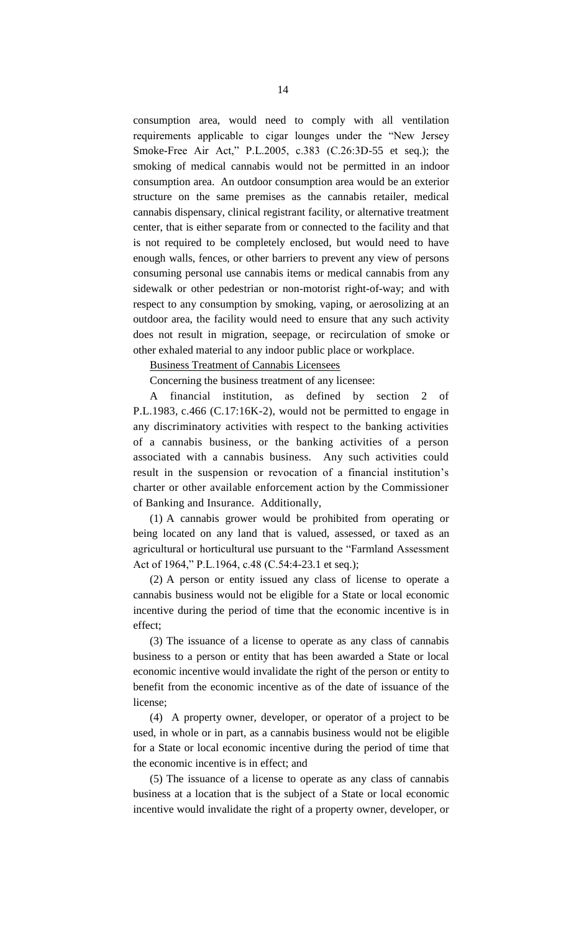consumption area, would need to comply with all ventilation requirements applicable to cigar lounges under the "New Jersey Smoke-Free Air Act," P.L.2005, c.383 (C.26:3D-55 et seq.); the smoking of medical cannabis would not be permitted in an indoor consumption area. An outdoor consumption area would be an exterior structure on the same premises as the cannabis retailer, medical cannabis dispensary, clinical registrant facility, or alternative treatment center, that is either separate from or connected to the facility and that is not required to be completely enclosed, but would need to have enough walls, fences, or other barriers to prevent any view of persons consuming personal use cannabis items or medical cannabis from any sidewalk or other pedestrian or non-motorist right-of-way; and with respect to any consumption by smoking, vaping, or aerosolizing at an outdoor area, the facility would need to ensure that any such activity does not result in migration, seepage, or recirculation of smoke or other exhaled material to any indoor public place or workplace.

Business Treatment of Cannabis Licensees

Concerning the business treatment of any licensee:

A financial institution, as defined by section 2 of P.L.1983, c.466 (C.17:16K-2), would not be permitted to engage in any discriminatory activities with respect to the banking activities of a cannabis business, or the banking activities of a person associated with a cannabis business. Any such activities could result in the suspension or revocation of a financial institution's charter or other available enforcement action by the Commissioner of Banking and Insurance. Additionally,

(1) A cannabis grower would be prohibited from operating or being located on any land that is valued, assessed, or taxed as an agricultural or horticultural use pursuant to the "Farmland Assessment Act of 1964," P.L.1964, c.48 (C.54:4-23.1 et seq.);

(2) A person or entity issued any class of license to operate a cannabis business would not be eligible for a State or local economic incentive during the period of time that the economic incentive is in effect;

(3) The issuance of a license to operate as any class of cannabis business to a person or entity that has been awarded a State or local economic incentive would invalidate the right of the person or entity to benefit from the economic incentive as of the date of issuance of the license;

(4) A property owner, developer, or operator of a project to be used, in whole or in part, as a cannabis business would not be eligible for a State or local economic incentive during the period of time that the economic incentive is in effect; and

(5) The issuance of a license to operate as any class of cannabis business at a location that is the subject of a State or local economic incentive would invalidate the right of a property owner, developer, or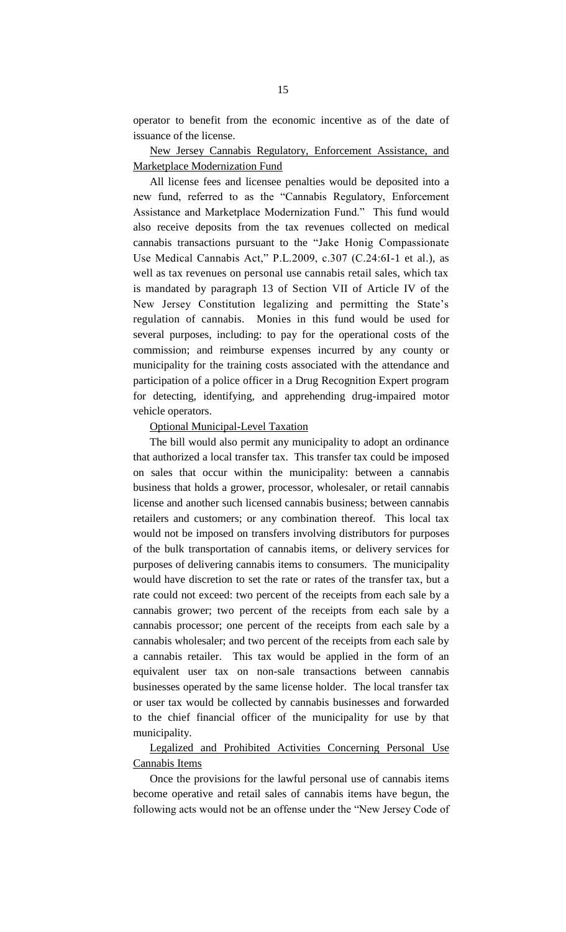operator to benefit from the economic incentive as of the date of issuance of the license.

#### New Jersey Cannabis Regulatory, Enforcement Assistance, and Marketplace Modernization Fund

All license fees and licensee penalties would be deposited into a new fund, referred to as the "Cannabis Regulatory, Enforcement Assistance and Marketplace Modernization Fund." This fund would also receive deposits from the tax revenues collected on medical cannabis transactions pursuant to the "Jake Honig Compassionate Use Medical Cannabis Act," P.L.2009, c.307 (C.24:6I-1 et al.), as well as tax revenues on personal use cannabis retail sales, which tax is mandated by paragraph 13 of Section VII of Article IV of the New Jersey Constitution legalizing and permitting the State's regulation of cannabis. Monies in this fund would be used for several purposes, including: to pay for the operational costs of the commission; and reimburse expenses incurred by any county or municipality for the training costs associated with the attendance and participation of a police officer in a Drug Recognition Expert program for detecting, identifying, and apprehending drug-impaired motor vehicle operators.

#### Optional Municipal-Level Taxation

The bill would also permit any municipality to adopt an ordinance that authorized a local transfer tax. This transfer tax could be imposed on sales that occur within the municipality: between a cannabis business that holds a grower, processor, wholesaler, or retail cannabis license and another such licensed cannabis business; between cannabis retailers and customers; or any combination thereof. This local tax would not be imposed on transfers involving distributors for purposes of the bulk transportation of cannabis items, or delivery services for purposes of delivering cannabis items to consumers. The municipality would have discretion to set the rate or rates of the transfer tax, but a rate could not exceed: two percent of the receipts from each sale by a cannabis grower; two percent of the receipts from each sale by a cannabis processor; one percent of the receipts from each sale by a cannabis wholesaler; and two percent of the receipts from each sale by a cannabis retailer. This tax would be applied in the form of an equivalent user tax on non-sale transactions between cannabis businesses operated by the same license holder. The local transfer tax or user tax would be collected by cannabis businesses and forwarded to the chief financial officer of the municipality for use by that municipality.

#### Legalized and Prohibited Activities Concerning Personal Use Cannabis Items

Once the provisions for the lawful personal use of cannabis items become operative and retail sales of cannabis items have begun, the following acts would not be an offense under the "New Jersey Code of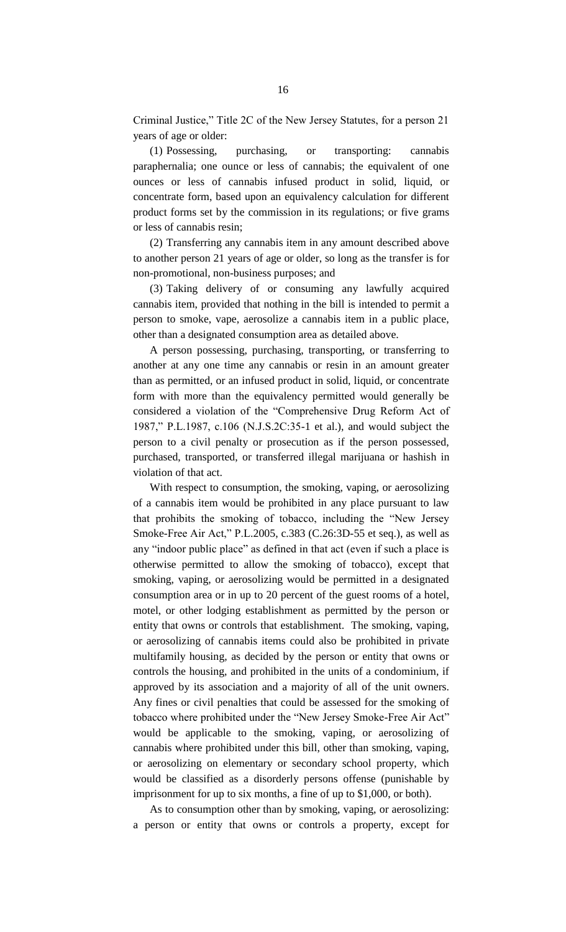Criminal Justice," Title 2C of the New Jersey Statutes, for a person 21 years of age or older:

(1) Possessing, purchasing, or transporting: cannabis paraphernalia; one ounce or less of cannabis; the equivalent of one ounces or less of cannabis infused product in solid, liquid, or concentrate form, based upon an equivalency calculation for different product forms set by the commission in its regulations; or five grams or less of cannabis resin;

(2) Transferring any cannabis item in any amount described above to another person 21 years of age or older, so long as the transfer is for non-promotional, non-business purposes; and

(3) Taking delivery of or consuming any lawfully acquired cannabis item, provided that nothing in the bill is intended to permit a person to smoke, vape, aerosolize a cannabis item in a public place, other than a designated consumption area as detailed above.

A person possessing, purchasing, transporting, or transferring to another at any one time any cannabis or resin in an amount greater than as permitted, or an infused product in solid, liquid, or concentrate form with more than the equivalency permitted would generally be considered a violation of the "Comprehensive Drug Reform Act of 1987," P.L.1987, c.106 (N.J.S.2C:35-1 et al.), and would subject the person to a civil penalty or prosecution as if the person possessed, purchased, transported, or transferred illegal marijuana or hashish in violation of that act.

With respect to consumption, the smoking, vaping, or aerosolizing of a cannabis item would be prohibited in any place pursuant to law that prohibits the smoking of tobacco, including the "New Jersey Smoke-Free Air Act," P.L.2005, c.383 (C.26:3D-55 et seq.), as well as any "indoor public place" as defined in that act (even if such a place is otherwise permitted to allow the smoking of tobacco), except that smoking, vaping, or aerosolizing would be permitted in a designated consumption area or in up to 20 percent of the guest rooms of a hotel, motel, or other lodging establishment as permitted by the person or entity that owns or controls that establishment. The smoking, vaping, or aerosolizing of cannabis items could also be prohibited in private multifamily housing, as decided by the person or entity that owns or controls the housing, and prohibited in the units of a condominium, if approved by its association and a majority of all of the unit owners. Any fines or civil penalties that could be assessed for the smoking of tobacco where prohibited under the "New Jersey Smoke-Free Air Act" would be applicable to the smoking, vaping, or aerosolizing of cannabis where prohibited under this bill, other than smoking, vaping, or aerosolizing on elementary or secondary school property, which would be classified as a disorderly persons offense (punishable by imprisonment for up to six months, a fine of up to \$1,000, or both).

As to consumption other than by smoking, vaping, or aerosolizing: a person or entity that owns or controls a property, except for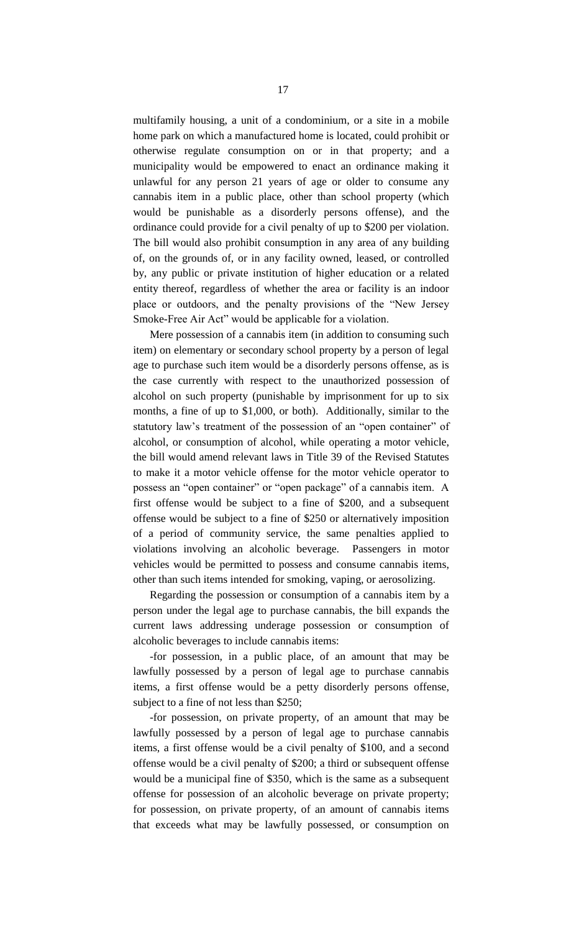multifamily housing, a unit of a condominium, or a site in a mobile home park on which a manufactured home is located, could prohibit or otherwise regulate consumption on or in that property; and a municipality would be empowered to enact an ordinance making it unlawful for any person 21 years of age or older to consume any cannabis item in a public place, other than school property (which would be punishable as a disorderly persons offense), and the ordinance could provide for a civil penalty of up to \$200 per violation. The bill would also prohibit consumption in any area of any building of, on the grounds of, or in any facility owned, leased, or controlled by, any public or private institution of higher education or a related entity thereof, regardless of whether the area or facility is an indoor place or outdoors, and the penalty provisions of the "New Jersey Smoke-Free Air Act" would be applicable for a violation.

Mere possession of a cannabis item (in addition to consuming such item) on elementary or secondary school property by a person of legal age to purchase such item would be a disorderly persons offense, as is the case currently with respect to the unauthorized possession of alcohol on such property (punishable by imprisonment for up to six months, a fine of up to \$1,000, or both). Additionally, similar to the statutory law's treatment of the possession of an "open container" of alcohol, or consumption of alcohol, while operating a motor vehicle, the bill would amend relevant laws in Title 39 of the Revised Statutes to make it a motor vehicle offense for the motor vehicle operator to possess an "open container" or "open package" of a cannabis item. A first offense would be subject to a fine of \$200, and a subsequent offense would be subject to a fine of \$250 or alternatively imposition of a period of community service, the same penalties applied to violations involving an alcoholic beverage. Passengers in motor vehicles would be permitted to possess and consume cannabis items, other than such items intended for smoking, vaping, or aerosolizing.

Regarding the possession or consumption of a cannabis item by a person under the legal age to purchase cannabis, the bill expands the current laws addressing underage possession or consumption of alcoholic beverages to include cannabis items:

-for possession, in a public place, of an amount that may be lawfully possessed by a person of legal age to purchase cannabis items, a first offense would be a petty disorderly persons offense, subject to a fine of not less than \$250;

-for possession, on private property, of an amount that may be lawfully possessed by a person of legal age to purchase cannabis items, a first offense would be a civil penalty of \$100, and a second offense would be a civil penalty of \$200; a third or subsequent offense would be a municipal fine of \$350, which is the same as a subsequent offense for possession of an alcoholic beverage on private property; for possession, on private property, of an amount of cannabis items that exceeds what may be lawfully possessed, or consumption on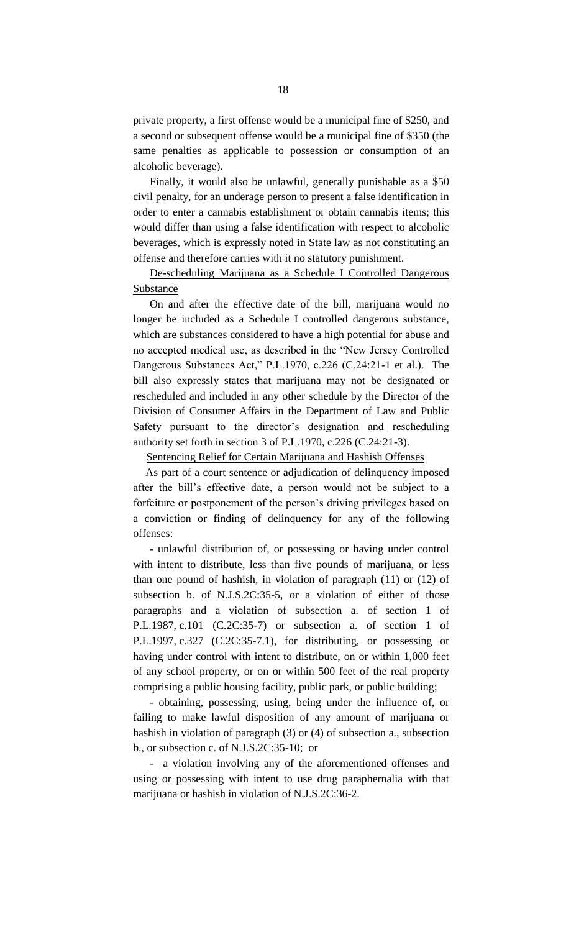private property, a first offense would be a municipal fine of \$250, and a second or subsequent offense would be a municipal fine of \$350 (the same penalties as applicable to possession or consumption of an alcoholic beverage).

Finally, it would also be unlawful, generally punishable as a \$50 civil penalty, for an underage person to present a false identification in order to enter a cannabis establishment or obtain cannabis items; this would differ than using a false identification with respect to alcoholic beverages, which is expressly noted in State law as not constituting an offense and therefore carries with it no statutory punishment.

De-scheduling Marijuana as a Schedule I Controlled Dangerous Substance

On and after the effective date of the bill, marijuana would no longer be included as a Schedule I controlled dangerous substance, which are substances considered to have a high potential for abuse and no accepted medical use, as described in the "New Jersey Controlled Dangerous Substances Act," P.L.1970, c.226 (C.24:21-1 et al.). The bill also expressly states that marijuana may not be designated or rescheduled and included in any other schedule by the Director of the Division of Consumer Affairs in the Department of Law and Public Safety pursuant to the director's designation and rescheduling authority set forth in section 3 of P.L.1970, c.226 (C.24:21-3).

Sentencing Relief for Certain Marijuana and Hashish Offenses

As part of a court sentence or adjudication of delinquency imposed after the bill's effective date, a person would not be subject to a forfeiture or postponement of the person's driving privileges based on a conviction or finding of delinquency for any of the following offenses:

- unlawful distribution of, or possessing or having under control with intent to distribute, less than five pounds of marijuana, or less than one pound of hashish, in violation of paragraph (11) or (12) of subsection b. of N.J.S.2C:35-5, or a violation of either of those paragraphs and a violation of subsection a. of section 1 of P.L.1987, c.101 (C.2C:35-7) or subsection a. of section 1 of P.L.1997, c.327 (C.2C:35-7.1), for distributing, or possessing or having under control with intent to distribute, on or within 1,000 feet of any school property, or on or within 500 feet of the real property comprising a public housing facility, public park, or public building;

- obtaining, possessing, using, being under the influence of, or failing to make lawful disposition of any amount of marijuana or hashish in violation of paragraph (3) or (4) of subsection a., subsection b., or subsection c. of N.J.S.2C:35-10; or

- a violation involving any of the aforementioned offenses and using or possessing with intent to use drug paraphernalia with that marijuana or hashish in violation of N.J.S.2C:36-2.